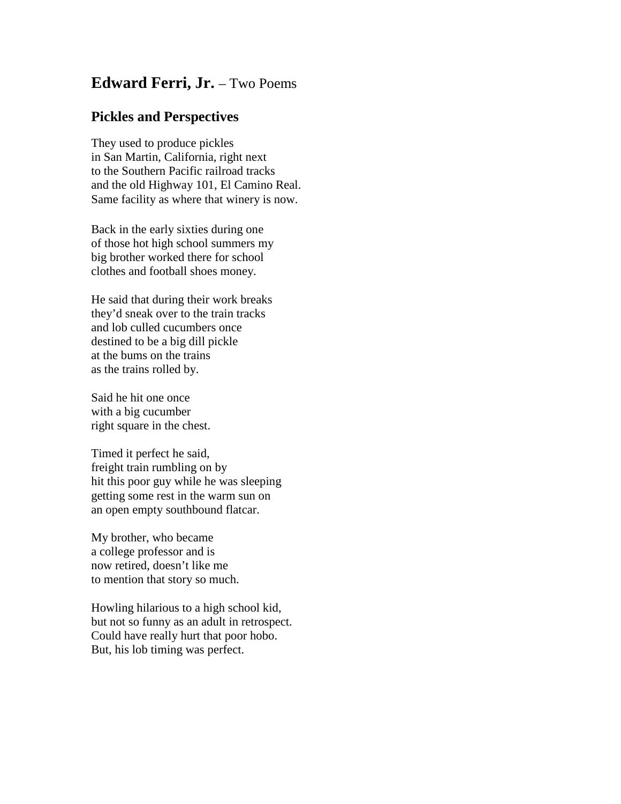## **Edward Ferri, Jr.** – Two Poems

## **Pickles and Perspectives**

They used to produce pickles in San Martin, California, right next to the Southern Pacific railroad tracks and the old Highway 101, El Camino Real. Same facility as where that winery is now.

Back in the early sixties during one of those hot high school summers my big brother worked there for school clothes and football shoes money.

He said that during their work breaks they'd sneak over to the train tracks and lob culled cucumbers once destined to be a big dill pickle at the bums on the trains as the trains rolled by.

Said he hit one once with a big cucumber right square in the chest.

Timed it perfect he said, freight train rumbling on by hit this poor guy while he was sleeping getting some rest in the warm sun on an open empty southbound flatcar.

My brother, who became a college professor and is now retired, doesn't like me to mention that story so much.

Howling hilarious to a high school kid, but not so funny as an adult in retrospect. Could have really hurt that poor hobo. But, his lob timing was perfect.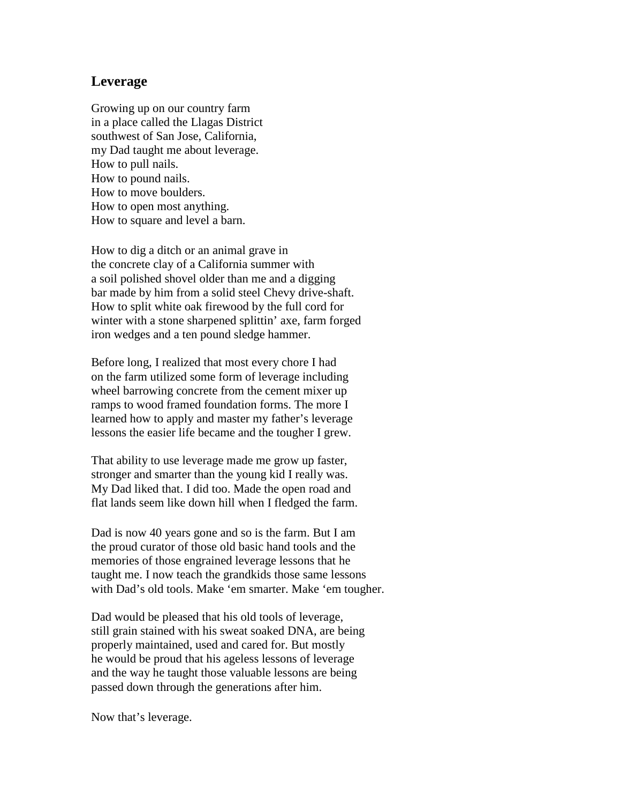## **Leverage**

Growing up on our country farm in a place called the Llagas District southwest of San Jose, California, my Dad taught me about leverage. How to pull nails. How to pound nails. How to move boulders. How to open most anything. How to square and level a barn.

How to dig a ditch or an animal grave in the concrete clay of a California summer with a soil polished shovel older than me and a digging bar made by him from a solid steel Chevy drive-shaft. How to split white oak firewood by the full cord for winter with a stone sharpened splittin' axe, farm forged iron wedges and a ten pound sledge hammer.

Before long, I realized that most every chore I had on the farm utilized some form of leverage including wheel barrowing concrete from the cement mixer up ramps to wood framed foundation forms. The more I learned how to apply and master my father's leverage lessons the easier life became and the tougher I grew.

That ability to use leverage made me grow up faster, stronger and smarter than the young kid I really was. My Dad liked that. I did too. Made the open road and flat lands seem like down hill when I fledged the farm.

Dad is now 40 years gone and so is the farm. But I am the proud curator of those old basic hand tools and the memories of those engrained leverage lessons that he taught me. I now teach the grandkids those same lessons with Dad's old tools. Make 'em smarter. Make 'em tougher.

Dad would be pleased that his old tools of leverage, still grain stained with his sweat soaked DNA, are being properly maintained, used and cared for. But mostly he would be proud that his ageless lessons of leverage and the way he taught those valuable lessons are being passed down through the generations after him.

Now that's leverage.